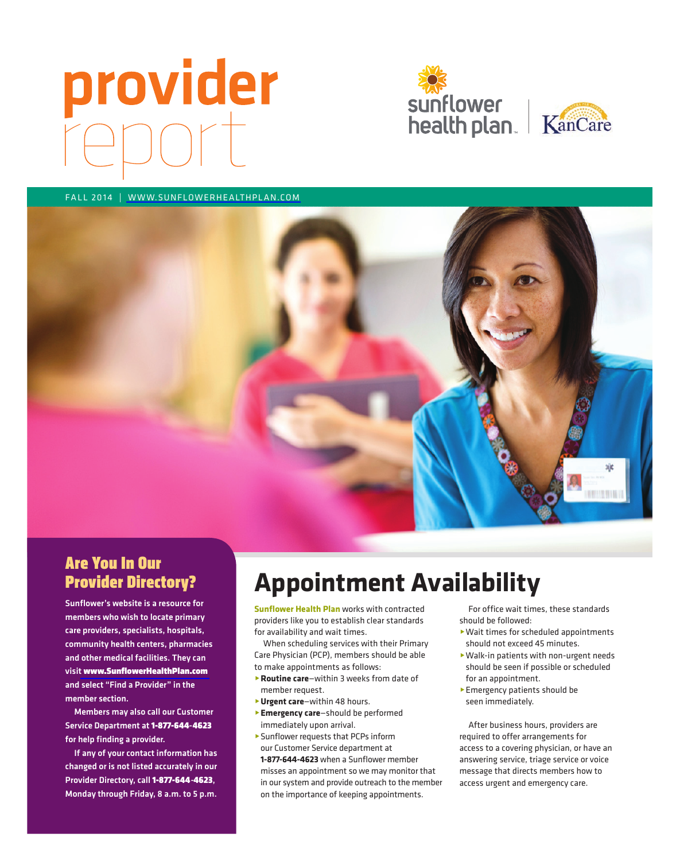# provider





FALL 2014 | WWW.SUNFLOWERHEALTHPLAN.COM



## Are You In Our Provider Directory?

Sunflower's website is a resource for members who wish to locate primary care providers, specialists, hospitals, community health centers, pharmacies and other medical facilities. They can visit [www.SunflowerHealthPlan.com](http://www.sunflowerhealthplan.com) and select "Find a Provider" in the member section.

Service Department at 1-877-644-4623 Members may also call our Customer for help finding a provider.

Provider Directory, call 1-877-644-4623, If any of your contact information has changed or is not listed accurately in our Monday through Friday, 8 a.m. to 5 p.m.

# **Appointment Availability**

**Sunflower Health Plan** works with contracted providers like you to establish clear standards for availability and wait times.

When scheduling services with their Primary Care Physician (PCP), members should be able to make appointments as follows:

- ▶ **Routine care**—within 3 weeks from date of member request.
- @**Urgent care**—within 48 hours.
- **Emergency care-should be performed** immediately upon arrival.
- **Sunflower requests that PCPs inform** our Customer Service department at

**1-877-644-4623** when a Sunflower member misses an appointment so we may monitor that in our system and provide outreach to the member on the importance of keeping appointments.

For office wait times, these standards should be followed:

- @ Wait times for scheduled appointments should not exceed 45 minutes.
- @ Walk-in patients with non-urgent needs should be seen if possible or scheduled for an appointment.
- **Emergency patients should be** seen immediately.

After business hours, providers are required to offer arrangements for access to a covering physician, or have an answering service, triage service or voice message that directs members how to access urgent and emergency care.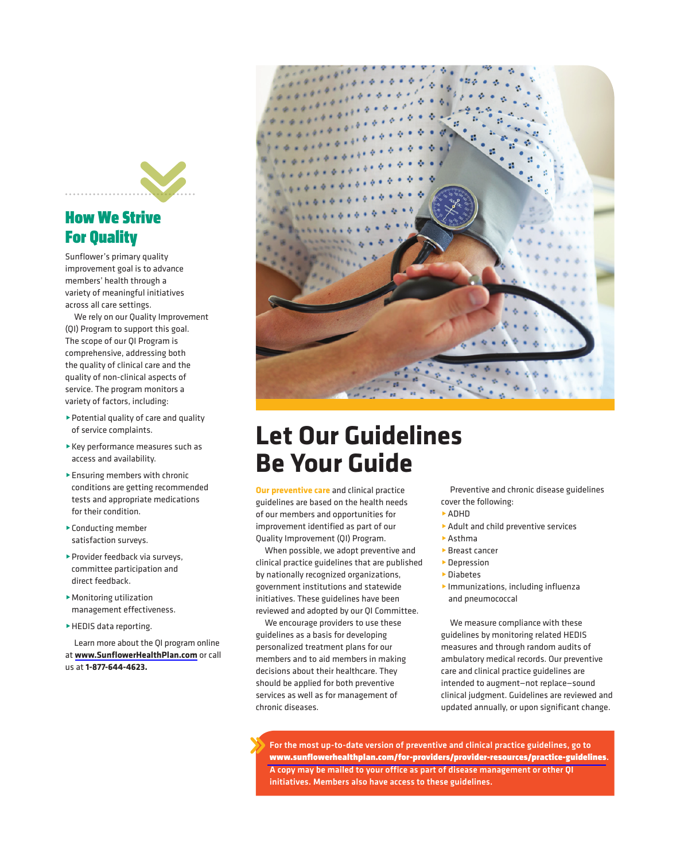

# How We Strive For Quality

Sunflower's primary quality improvement goal is to advance members' health through a variety of meaningful initiatives across all care settings.

We rely on our Quality Improvement (QI) Program to support this goal. The scope of our QI Program is comprehensive, addressing both the quality of clinical care and the quality of non-clinical aspects of service. The program monitors a variety of factors, including:

- @ Potential quality of care and quality of service complaints.
- @ Key performance measures such as access and availability.
- Ensuring members with chronic conditions are getting recommended tests and appropriate medications for their condition.
- ▶ Conducting member satisfaction surveys.
- ▶ Provider feedback via surveys, committee participation and direct feedback.
- ▶ Monitoring utilization management effectiveness.
- ▶ HEDIS data reporting.

learn more about the QI program online at **www.SunflowerHealthPlan.com** or call us at **1-877-644-4623.** 



# **Let Our Guidelines Be Your Guide**

**Our preventive care** and clinical practice guidelines are based on the health needs of our members and opportunities for improvement identified as part of our Quality Improvement (QI) Program.

When possible, we adopt preventive and clinical practice guidelines that are published by nationally recognized organizations, government institutions and statewide initiatives. These guidelines have been reviewed and adopted by our QI Committee.

We encourage providers to use these guidelines as a basis for developing personalized treatment plans for our members and to aid members in making decisions about their healthcare. They should be applied for both preventive services as well as for management of chronic diseases.

Preventive and chronic disease guidelines cover the following:

- **ADHD**
- Adult and child preventive services
- $\blacktriangleright$  Asthma
- ▶ Breast cancer
- **Depression**
- ▶ Diabetes
- @Immunizations, including influenza and pneumococcal

We measure compliance with these guidelines by monitoring related hEDIS measures and through random audits of ambulatory medical records. Our preventive care and clinical practice guidelines are intended to augment—not replace—sound clinical judgment. Guidelines are reviewed and updated annually, or upon significant change.

- [www.sunflowerhealthplan.com/for-providers/provider-resources/practice -guidelines](https://www.sunflowerhealthplan.com/providers/quality-improvement/practice-guidelines.html). For the most up-to-date version of preventive and clinical practice guidelines, go to A copy may be mailed to your office as part of disease management or other QI initiatives. Members also have access to these guidelines.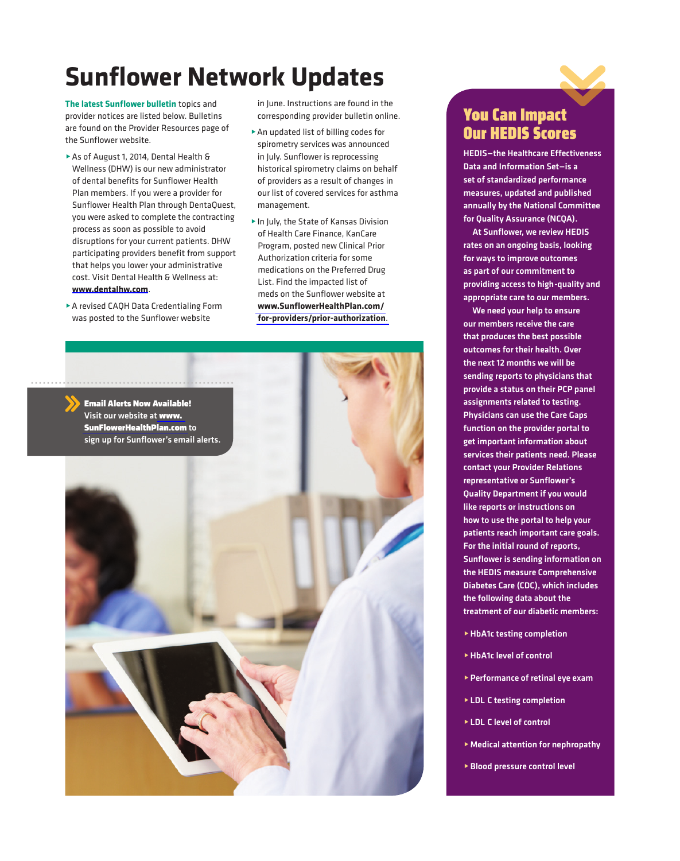# **Sunflower Network Updates**

**The latest Sunflower bulletin** topics and provider notices are listed below. Bulletins are found on the Provider Resources page of the Sunflower website.

- ▶ As of August 1, 2014, Dental Health & Wellness (DHW) is our new administrator of dental benefits for Sunflower Health Plan members. If you were a provider for Sunflower Health Plan through DentaQuest, you were asked to complete the contracting process as soon as possible to avoid disruptions for your current patients. DHW participating providers benefit from support that helps you lower your administrative cost. Visit Dental Health & Wellness at: **www.dentalhw.com**.
- ▶ A revised CAQH Data Credentialing Form was posted to the Sunflower website

in June. Instructions are found in the corresponding provider bulletin online.

- ▶ An updated list of billing codes for spirometry services was announced in July. Sunflower is reprocessing historical spirometry claims on behalf of providers as a result of changes in our list of covered services for asthma management.
- ▶ In July, the State of Kansas Division of Health Care Finance, KanCare Program, posted new Clinical Prior Authorization criteria for some medications on the Preferred Drug List. Find the impacted list of meds on the Sunflower website at **[www.SunflowerHealthPlan.com/](http://www.sunflowerhealthplan.com/for-providers/prior-authorization)  [for-providers/prior-authorization](http://www.sunflowerhealthplan.com/for-providers/prior-authorization)**.



## You Can Impact Our HEDIS Scores

HEDIS—the Healthcare Effectiveness Data and Information Set—is a set of standardized performance measures, updated and published annually by the National Committee for Quality Assurance (NCQA).

- providing access to high -quality and At Sunflower, we review HEDIS rates on an ongoing basis, looking for ways to improve outcomes as part of our commitment to appropriate care to our members.

We need your help to ensure our members receive the care that produces the best possible outcomes for their health. Over the next 12 months we will be sending reports to physicians that provide a status on their PCP panel assignments related to testing. Physicians can use the Care Gaps function on the provider portal to get important information about services their patients need. Please contact your Provider Relations representative or Sunflower's Quality Department if you would like reports or instructions on how to use the portal to help your patients reach important care goals. For the initial round of reports, Sunflower is sending information on the HEDIS measure Comprehensive Diabetes Care (CDC), which includes the following data about the treatment of our diabetic members:

- $\blacktriangleright$  HbA1c testing completion
- ▶ HbA1c level of control
- $\blacktriangleright$  Performance of retinal eye exam
- **ELDL C testing completion**
- ▶ LDL C level of control
- $\blacktriangleright$  Medical attention for nephropathy
- **Blood pressure control level**